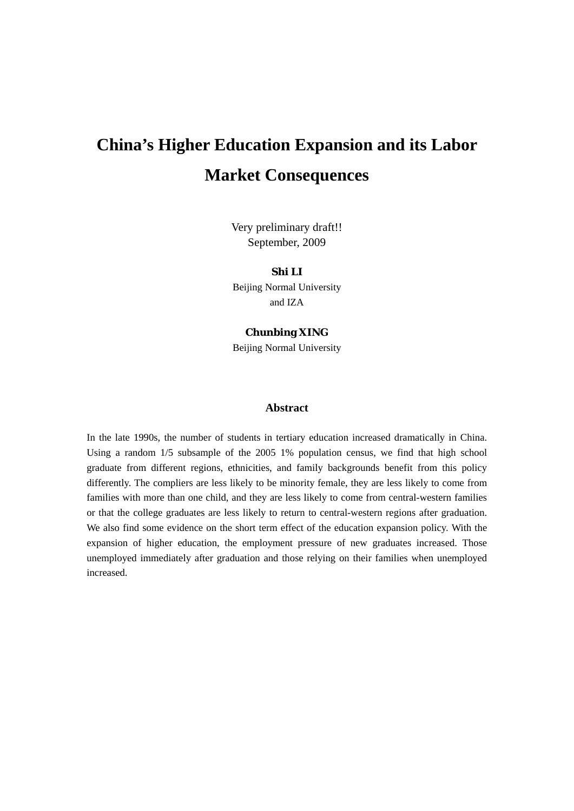# **China's Higher Education Expansion and its Labor Market Consequences**

Very preliminary draft!! September, 2009

**Shi LI**  Beijing Normal University and IZA

# **Chunbing XING**

Beijing Normal University

# **Abstract**

In the late 1990s, the number of students in tertiary education increased dramatically in China. Using a random 1/5 subsample of the 2005 1% population census, we find that high school graduate from different regions, ethnicities, and family backgrounds benefit from this policy differently. The compliers are less likely to be minority female, they are less likely to come from families with more than one child, and they are less likely to come from central-western families or that the college graduates are less likely to return to central-western regions after graduation. We also find some evidence on the short term effect of the education expansion policy. With the expansion of higher education, the employment pressure of new graduates increased. Those unemployed immediately after graduation and those relying on their families when unemployed increased.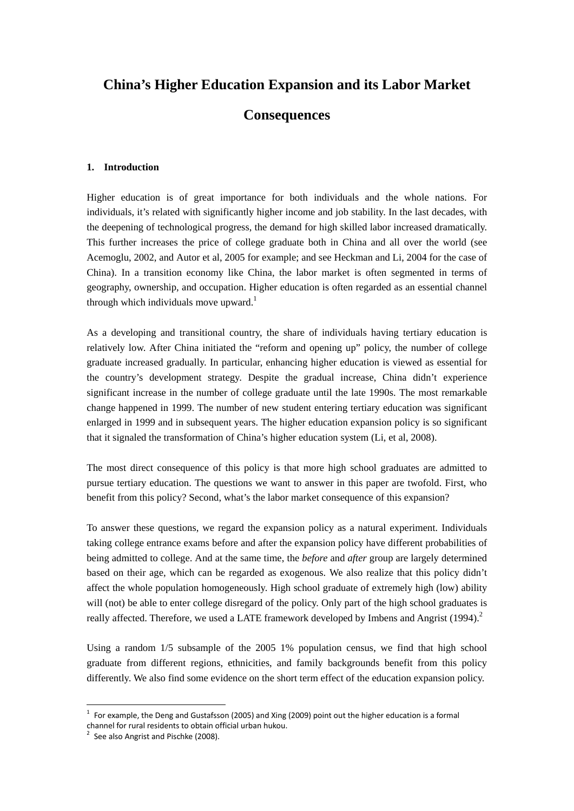# **China's Higher Education Expansion and its Labor Market**

# **Consequences**

## **1. Introduction**

Higher education is of great importance for both individuals and the whole nations. For individuals, it's related with significantly higher income and job stability. In the last decades, with the deepening of technological progress, the demand for high skilled labor increased dramatically. This further increases the price of college graduate both in China and all over the world (see Acemoglu, 2002, and Autor et al, 2005 for example; and see Heckman and Li, 2004 for the case of China). In a transition economy like China, the labor market is often segmented in terms of geography, ownership, and occupation. Higher education is often regarded as an essential channel through which individuals move upward.<sup>1</sup>

As a developing and transitional country, the share of individuals having tertiary education is relatively low. After China initiated the "reform and opening up" policy, the number of college graduate increased gradually. In particular, enhancing higher education is viewed as essential for the country's development strategy. Despite the gradual increase, China didn't experience significant increase in the number of college graduate until the late 1990s. The most remarkable change happened in 1999. The number of new student entering tertiary education was significant enlarged in 1999 and in subsequent years. The higher education expansion policy is so significant that it signaled the transformation of China's higher education system (Li, et al, 2008).

The most direct consequence of this policy is that more high school graduates are admitted to pursue tertiary education. The questions we want to answer in this paper are twofold. First, who benefit from this policy? Second, what's the labor market consequence of this expansion?

To answer these questions, we regard the expansion policy as a natural experiment. Individuals taking college entrance exams before and after the expansion policy have different probabilities of being admitted to college. And at the same time, the *before* and *after* group are largely determined based on their age, which can be regarded as exogenous. We also realize that this policy didn't affect the whole population homogeneously. High school graduate of extremely high (low) ability will (not) be able to enter college disregard of the policy. Only part of the high school graduates is really affected. Therefore, we used a LATE framework developed by Imbens and Angrist (1994).<sup>2</sup>

Using a random 1/5 subsample of the 2005 1% population census, we find that high school graduate from different regions, ethnicities, and family backgrounds benefit from this policy differently. We also find some evidence on the short term effect of the education expansion policy.

<u> Andrew Maria (1989)</u>

 $<sup>1</sup>$  For example, the Deng and Gustafsson (2005) and Xing (2009) point out the higher education is a formal</sup> channel for rural residents to obtain official urban hukou.<br><sup>2</sup> See also Angrist and Pischke (2008).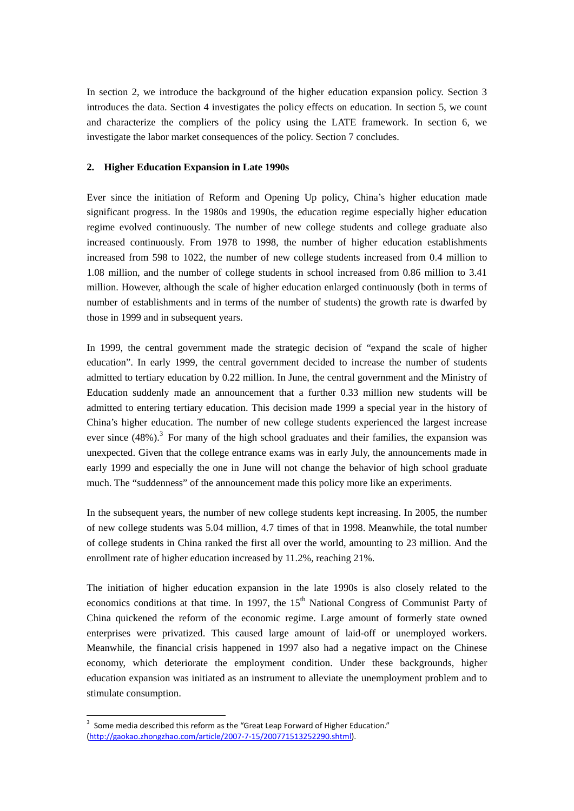In section 2, we introduce the background of the higher education expansion policy. Section 3 introduces the data. Section 4 investigates the policy effects on education. In section 5, we count and characterize the compliers of the policy using the LATE framework. In section 6, we investigate the labor market consequences of the policy. Section 7 concludes.

#### **2. Higher Education Expansion in Late 1990s**

Ever since the initiation of Reform and Opening Up policy, China's higher education made significant progress. In the 1980s and 1990s, the education regime especially higher education regime evolved continuously. The number of new college students and college graduate also increased continuously. From 1978 to 1998, the number of higher education establishments increased from 598 to 1022, the number of new college students increased from 0.4 million to 1.08 million, and the number of college students in school increased from 0.86 million to 3.41 million. However, although the scale of higher education enlarged continuously (both in terms of number of establishments and in terms of the number of students) the growth rate is dwarfed by those in 1999 and in subsequent years.

In 1999, the central government made the strategic decision of "expand the scale of higher education". In early 1999, the central government decided to increase the number of students admitted to tertiary education by 0.22 million. In June, the central government and the Ministry of Education suddenly made an announcement that a further 0.33 million new students will be admitted to entering tertiary education. This decision made 1999 a special year in the history of China's higher education. The number of new college students experienced the largest increase ever since  $(48%)$ .<sup>3</sup> For many of the high school graduates and their families, the expansion was unexpected. Given that the college entrance exams was in early July, the announcements made in early 1999 and especially the one in June will not change the behavior of high school graduate much. The "suddenness" of the announcement made this policy more like an experiments.

In the subsequent years, the number of new college students kept increasing. In 2005, the number of new college students was 5.04 million, 4.7 times of that in 1998. Meanwhile, the total number of college students in China ranked the first all over the world, amounting to 23 million. And the enrollment rate of higher education increased by 11.2%, reaching 21%.

The initiation of higher education expansion in the late 1990s is also closely related to the economics conditions at that time. In 1997, the 15<sup>th</sup> National Congress of Communist Party of China quickened the reform of the economic regime. Large amount of formerly state owned enterprises were privatized. This caused large amount of laid-off or unemployed workers. Meanwhile, the financial crisis happened in 1997 also had a negative impact on the Chinese economy, which deteriorate the employment condition. Under these backgrounds, higher education expansion was initiated as an instrument to alleviate the unemployment problem and to stimulate consumption.

<u> Andrew Maria (1989)</u>

<sup>&</sup>lt;sup>3</sup> Some media described this reform as the "Great Leap Forward of Higher Education." (http://gaokao.zhongzhao.com/article/2007‐7‐15/200771513252290.shtml).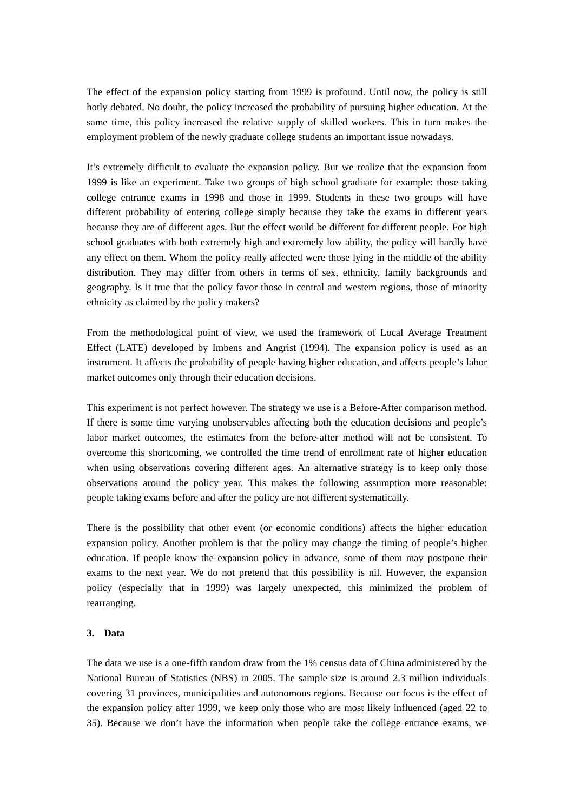The effect of the expansion policy starting from 1999 is profound. Until now, the policy is still hotly debated. No doubt, the policy increased the probability of pursuing higher education. At the same time, this policy increased the relative supply of skilled workers. This in turn makes the employment problem of the newly graduate college students an important issue nowadays.

It's extremely difficult to evaluate the expansion policy. But we realize that the expansion from 1999 is like an experiment. Take two groups of high school graduate for example: those taking college entrance exams in 1998 and those in 1999. Students in these two groups will have different probability of entering college simply because they take the exams in different years because they are of different ages. But the effect would be different for different people. For high school graduates with both extremely high and extremely low ability, the policy will hardly have any effect on them. Whom the policy really affected were those lying in the middle of the ability distribution. They may differ from others in terms of sex, ethnicity, family backgrounds and geography. Is it true that the policy favor those in central and western regions, those of minority ethnicity as claimed by the policy makers?

From the methodological point of view, we used the framework of Local Average Treatment Effect (LATE) developed by Imbens and Angrist (1994). The expansion policy is used as an instrument. It affects the probability of people having higher education, and affects people's labor market outcomes only through their education decisions.

This experiment is not perfect however. The strategy we use is a Before-After comparison method. If there is some time varying unobservables affecting both the education decisions and people's labor market outcomes, the estimates from the before-after method will not be consistent. To overcome this shortcoming, we controlled the time trend of enrollment rate of higher education when using observations covering different ages. An alternative strategy is to keep only those observations around the policy year. This makes the following assumption more reasonable: people taking exams before and after the policy are not different systematically.

There is the possibility that other event (or economic conditions) affects the higher education expansion policy. Another problem is that the policy may change the timing of people's higher education. If people know the expansion policy in advance, some of them may postpone their exams to the next year. We do not pretend that this possibility is nil. However, the expansion policy (especially that in 1999) was largely unexpected, this minimized the problem of rearranging.

## **3. Data**

The data we use is a one-fifth random draw from the 1% census data of China administered by the National Bureau of Statistics (NBS) in 2005. The sample size is around 2.3 million individuals covering 31 provinces, municipalities and autonomous regions. Because our focus is the effect of the expansion policy after 1999, we keep only those who are most likely influenced (aged 22 to 35). Because we don't have the information when people take the college entrance exams, we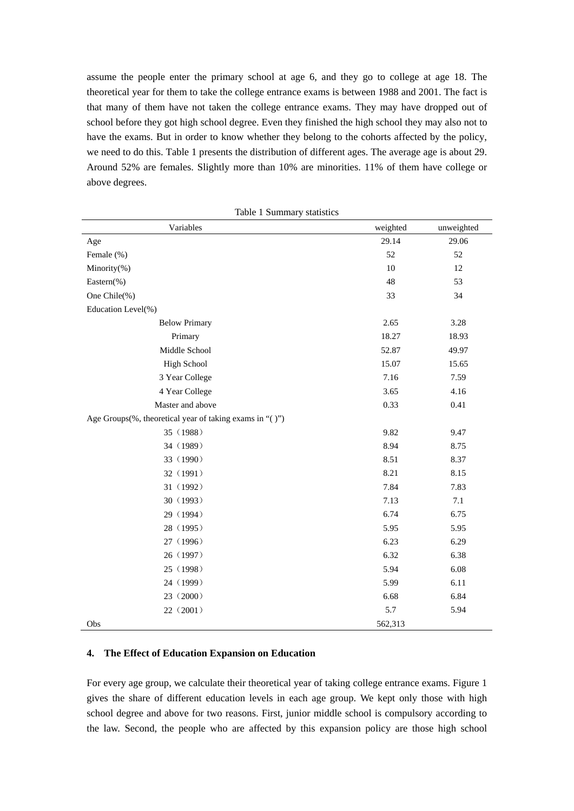assume the people enter the primary school at age 6, and they go to college at age 18. The theoretical year for them to take the college entrance exams is between 1988 and 2001. The fact is that many of them have not taken the college entrance exams. They may have dropped out of school before they got high school degree. Even they finished the high school they may also not to have the exams. But in order to know whether they belong to the cohorts affected by the policy, we need to do this. Table 1 presents the distribution of different ages. The average age is about 29. Around 52% are females. Slightly more than 10% are minorities. 11% of them have college or above degrees.

| Variables                                               | weighted | unweighted |
|---------------------------------------------------------|----------|------------|
| Age                                                     | 29.14    | 29.06      |
| Female (%)                                              | 52       | 52         |
| Minority(%)                                             | 10       | 12         |
| Eastern(%)                                              | 48       | 53         |
| One Chile(%)                                            | 33       | 34         |
| Education Level(%)                                      |          |            |
| <b>Below Primary</b>                                    | 2.65     | 3.28       |
| Primary                                                 | 18.27    | 18.93      |
| Middle School                                           | 52.87    | 49.97      |
| <b>High School</b>                                      | 15.07    | 15.65      |
| 3 Year College                                          | 7.16     | 7.59       |
| 4 Year College                                          | 3.65     | 4.16       |
| Master and above                                        | 0.33     | 0.41       |
| Age Groups(%, theoretical year of taking exams in "()") |          |            |
| 35 (1988)                                               | 9.82     | 9.47       |
| 34 (1989)                                               | 8.94     | 8.75       |
| 33 (1990)                                               | 8.51     | 8.37       |
| 32 (1991)                                               | 8.21     | 8.15       |
| 31 (1992)                                               | 7.84     | 7.83       |
| 30 (1993)                                               | 7.13     | 7.1        |
| 29 (1994)                                               | 6.74     | 6.75       |
| 28 (1995)                                               | 5.95     | 5.95       |
| 27 (1996)                                               | 6.23     | 6.29       |
| 26 (1997)                                               | 6.32     | 6.38       |
| 25 (1998)                                               | 5.94     | 6.08       |
| 24 (1999)                                               | 5.99     | 6.11       |
| 23 (2000)                                               | 6.68     | 6.84       |
| 22 (2001)                                               | 5.7      | 5.94       |
| Obs                                                     | 562,313  |            |

Table 1 Summary statistics

# **4. The Effect of Education Expansion on Education**

For every age group, we calculate their theoretical year of taking college entrance exams. Figure 1 gives the share of different education levels in each age group. We kept only those with high school degree and above for two reasons. First, junior middle school is compulsory according to the law. Second, the people who are affected by this expansion policy are those high school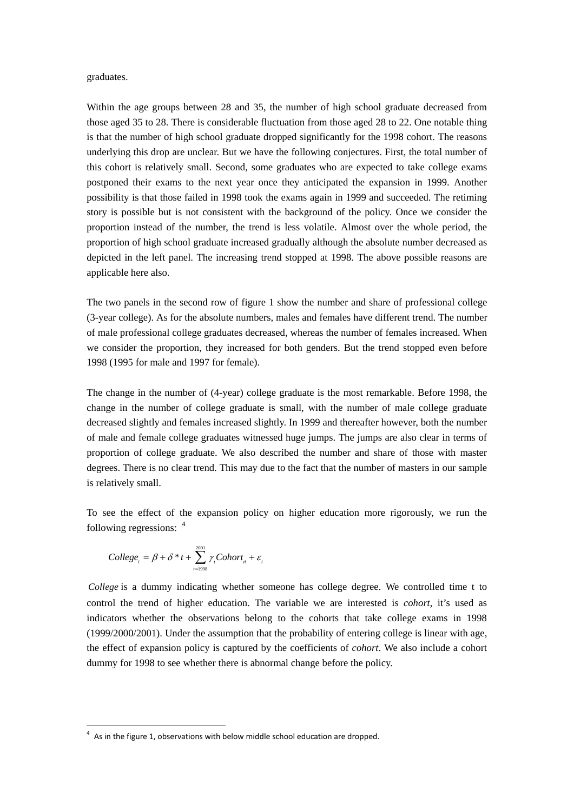graduates.

Within the age groups between 28 and 35, the number of high school graduate decreased from those aged 35 to 28. There is considerable fluctuation from those aged 28 to 22. One notable thing is that the number of high school graduate dropped significantly for the 1998 cohort. The reasons underlying this drop are unclear. But we have the following conjectures. First, the total number of this cohort is relatively small. Second, some graduates who are expected to take college exams postponed their exams to the next year once they anticipated the expansion in 1999. Another possibility is that those failed in 1998 took the exams again in 1999 and succeeded. The retiming story is possible but is not consistent with the background of the policy. Once we consider the proportion instead of the number, the trend is less volatile. Almost over the whole period, the proportion of high school graduate increased gradually although the absolute number decreased as depicted in the left panel. The increasing trend stopped at 1998. The above possible reasons are applicable here also.

The two panels in the second row of figure 1 show the number and share of professional college (3-year college). As for the absolute numbers, males and females have different trend. The number of male professional college graduates decreased, whereas the number of females increased. When we consider the proportion, they increased for both genders. But the trend stopped even before 1998 (1995 for male and 1997 for female).

The change in the number of (4-year) college graduate is the most remarkable. Before 1998, the change in the number of college graduate is small, with the number of male college graduate decreased slightly and females increased slightly. In 1999 and thereafter however, both the number of male and female college graduates witnessed huge jumps. The jumps are also clear in terms of proportion of college graduate. We also described the number and share of those with master degrees. There is no clear trend. This may due to the fact that the number of masters in our sample is relatively small.

To see the effect of the expansion policy on higher education more rigorously, we run the following regressions: <sup>4</sup>

$$
Collect_{i} = \beta + \delta * t + \sum_{i=1998}^{2001} \gamma_{i} Cohort_{i} + \varepsilon_{i}
$$

*College* is a dummy indicating whether someone has college degree. We controlled time t to control the trend of higher education. The variable we are interested is *cohort*, it's used as indicators whether the observations belong to the cohorts that take college exams in 1998 (1999/2000/2001). Under the assumption that the probability of entering college is linear with age, the effect of expansion policy is captured by the coefficients of *cohort*. We also include a cohort dummy for 1998 to see whether there is abnormal change before the policy.

 $4\,$  As in the figure 1, observations with below middle school education are dropped.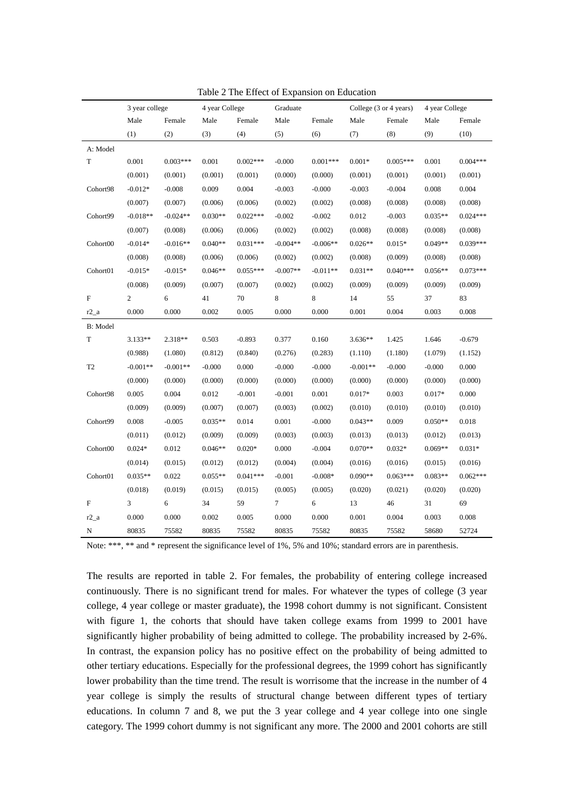|                | 3 year college |            | 4 year College |            | Graduate        |            | College (3 or 4 years) |            | 4 year College |            |
|----------------|----------------|------------|----------------|------------|-----------------|------------|------------------------|------------|----------------|------------|
|                | Male           | Female     | Male           | Female     | Male<br>Female  |            | Male                   | Female     |                | Female     |
|                | (1)            | (2)        | (3)            | (4)        | (5)             | (6)        | (7)                    | (8)        | (9)            | (10)       |
| A: Model       |                |            |                |            |                 |            |                        |            |                |            |
| T              | 0.001          | $0.003***$ | 0.001          | $0.002***$ | $-0.000$        | $0.001***$ | $0.001*$               | $0.005***$ | 0.001          | $0.004***$ |
|                | (0.001)        | (0.001)    | (0.001)        | (0.001)    | (0.000)         | (0.000)    | (0.001)                | (0.001)    | (0.001)        | (0.001)    |
| Cohort98       | $-0.012*$      | $-0.008$   | 0.009          | 0.004      | $-0.003$        | $-0.000$   | $-0.003$               | $-0.004$   | 0.008          | 0.004      |
|                | (0.007)        | (0.007)    | (0.006)        | (0.006)    | (0.002)         | (0.002)    | (0.008)                | (0.008)    | (0.008)        | (0.008)    |
| Cohort99       | $-0.018**$     | $-0.024**$ | $0.030**$      | $0.022***$ | $-0.002$        | $-0.002$   | 0.012                  | $-0.003$   | $0.035**$      | $0.024***$ |
|                | (0.007)        | (0.008)    | (0.006)        | (0.006)    | (0.002)         | (0.002)    | (0.008)                | (0.008)    | (0.008)        | (0.008)    |
| Cohort00       | $-0.014*$      | $-0.016**$ | $0.040**$      | $0.031***$ | $-0.004**$      | $-0.006**$ | $0.026**$              | $0.015*$   | $0.049**$      | $0.039***$ |
|                | (0.008)        | (0.008)    | (0.006)        | (0.006)    | (0.002)         | (0.002)    | (0.008)                | (0.009)    | (0.008)        | (0.008)    |
| Cohort01       | $-0.015*$      | $-0.015*$  | $0.046**$      | $0.055***$ | $-0.007**$      | $-0.011**$ | $0.031**$              | $0.040***$ | $0.056**$      | $0.073***$ |
|                | (0.008)        | (0.009)    | (0.007)        | (0.007)    | (0.002)         | (0.002)    | (0.009)                | (0.009)    | (0.009)        | (0.009)    |
| F              | $\overline{c}$ | 6          | 41             | 70         | 8               | 8          | 14                     | 55         | 37             | 83         |
| $r2_a$         | 0.000          | 0.000      | 0.002          | 0.005      | 0.000           | 0.000      | 0.001                  | 0.004      | 0.003          | 0.008      |
| B: Model       |                |            |                |            |                 |            |                        |            |                |            |
| T              | 3.133**        | 2.318**    | 0.503          | $-0.893$   | 0.377           | 0.160      | $3.636**$              | 1.425      | 1.646          | $-0.679$   |
|                | (0.988)        | (1.080)    | (0.812)        | (0.840)    | (0.276)         | (0.283)    | (1.110)                | (1.180)    | (1.079)        | (1.152)    |
| T <sub>2</sub> | $-0.001**$     | $-0.001**$ | $-0.000$       | 0.000      | $-0.000$        | $-0.000$   | $-0.001**$             | $-0.000$   | $-0.000$       | 0.000      |
|                | (0.000)        | (0.000)    | (0.000)        | (0.000)    | (0.000)         | (0.000)    | (0.000)                | (0.000)    | (0.000)        | (0.000)    |
| Cohort98       | 0.005          | 0.004      | 0.012          | $-0.001$   | $-0.001$        | 0.001      | $0.017*$               | 0.003      | $0.017*$       | 0.000      |
|                | (0.009)        | (0.009)    | (0.007)        | (0.007)    | (0.003)         | (0.002)    | (0.010)                | (0.010)    | (0.010)        | (0.010)    |
| Cohort99       | 0.008          | $-0.005$   | $0.035**$      | 0.014      | 0.001           | $-0.000$   | $0.043**$              | 0.009      | $0.050**$      | 0.018      |
|                | (0.011)        | (0.012)    | (0.009)        | (0.009)    | (0.003)         | (0.003)    | (0.013)                | (0.013)    | (0.012)        | (0.013)    |
| Cohort00       | $0.024*$       | 0.012      | $0.046**$      | $0.020*$   | 0.000           | $-0.004$   | $0.070**$              | $0.032*$   | $0.069**$      | $0.031*$   |
|                | (0.014)        | (0.015)    | (0.012)        | (0.012)    | (0.004)         | (0.004)    | (0.016)                | (0.016)    | (0.015)        | (0.016)    |
| Cohort01       | $0.035**$      | 0.022      | $0.055**$      | $0.041***$ | $-0.001$        | $-0.008*$  | $0.090**$              | $0.063***$ | $0.083**$      | $0.062***$ |
|                | (0.018)        | (0.019)    | (0.015)        | (0.015)    | (0.005)         | (0.005)    | (0.020)                | (0.021)    | (0.020)        | (0.020)    |
| F              | 3              | 6          | 34             | 59         | $7\phantom{.0}$ | 6          | 13                     | 46         | 31             | 69         |
| $r2_a$         | 0.000          | 0.000      | 0.002          | 0.005      | 0.000           | 0.000      | 0.001                  | 0.004      | 0.003          | 0.008      |
| N              | 80835          | 75582      | 80835          | 75582      | 80835           | 75582      | 80835                  | 75582      | 58680          | 52724      |

Table 2 The Effect of Expansion on Education

Note: \*\*\*, \*\* and \* represent the significance level of 1%, 5% and 10%; standard errors are in parenthesis.

The results are reported in table 2. For females, the probability of entering college increased continuously. There is no significant trend for males. For whatever the types of college (3 year college, 4 year college or master graduate), the 1998 cohort dummy is not significant. Consistent with figure 1, the cohorts that should have taken college exams from 1999 to 2001 have significantly higher probability of being admitted to college. The probability increased by 2-6%. In contrast, the expansion policy has no positive effect on the probability of being admitted to other tertiary educations. Especially for the professional degrees, the 1999 cohort has significantly lower probability than the time trend. The result is worrisome that the increase in the number of 4 year college is simply the results of structural change between different types of tertiary educations. In column 7 and 8, we put the 3 year college and 4 year college into one single category. The 1999 cohort dummy is not significant any more. The 2000 and 2001 cohorts are still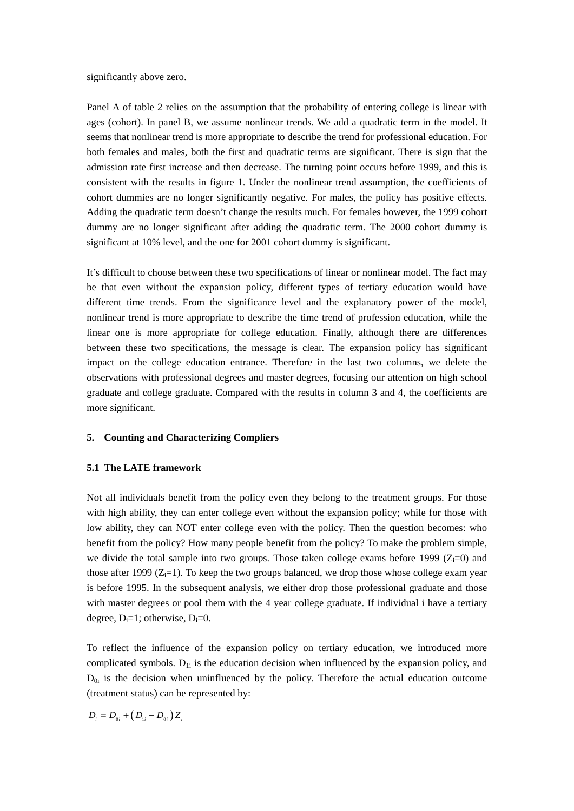significantly above zero.

Panel A of table 2 relies on the assumption that the probability of entering college is linear with ages (cohort). In panel B, we assume nonlinear trends. We add a quadratic term in the model. It seems that nonlinear trend is more appropriate to describe the trend for professional education. For both females and males, both the first and quadratic terms are significant. There is sign that the admission rate first increase and then decrease. The turning point occurs before 1999, and this is consistent with the results in figure 1. Under the nonlinear trend assumption, the coefficients of cohort dummies are no longer significantly negative. For males, the policy has positive effects. Adding the quadratic term doesn't change the results much. For females however, the 1999 cohort dummy are no longer significant after adding the quadratic term. The 2000 cohort dummy is significant at 10% level, and the one for 2001 cohort dummy is significant.

It's difficult to choose between these two specifications of linear or nonlinear model. The fact may be that even without the expansion policy, different types of tertiary education would have different time trends. From the significance level and the explanatory power of the model, nonlinear trend is more appropriate to describe the time trend of profession education, while the linear one is more appropriate for college education. Finally, although there are differences between these two specifications, the message is clear. The expansion policy has significant impact on the college education entrance. Therefore in the last two columns, we delete the observations with professional degrees and master degrees, focusing our attention on high school graduate and college graduate. Compared with the results in column 3 and 4, the coefficients are more significant.

#### **5. Counting and Characterizing Compliers**

# **5.1 The LATE framework**

Not all individuals benefit from the policy even they belong to the treatment groups. For those with high ability, they can enter college even without the expansion policy; while for those with low ability, they can NOT enter college even with the policy. Then the question becomes: who benefit from the policy? How many people benefit from the policy? To make the problem simple, we divide the total sample into two groups. Those taken college exams before 1999 ( $Z_i=0$ ) and those after 1999  $(Z_i=1)$ . To keep the two groups balanced, we drop those whose college exam year is before 1995. In the subsequent analysis, we either drop those professional graduate and those with master degrees or pool them with the 4 year college graduate. If individual i have a tertiary degree,  $D_i=1$ ; otherwise,  $D_i=0$ .

To reflect the influence of the expansion policy on tertiary education, we introduced more complicated symbols.  $D_{1i}$  is the education decision when influenced by the expansion policy, and  $D_{0i}$  is the decision when uninfluenced by the policy. Therefore the actual education outcome (treatment status) can be represented by:

 $D_i = D_{0i} + (D_{ii} - D_{0i})Z_i$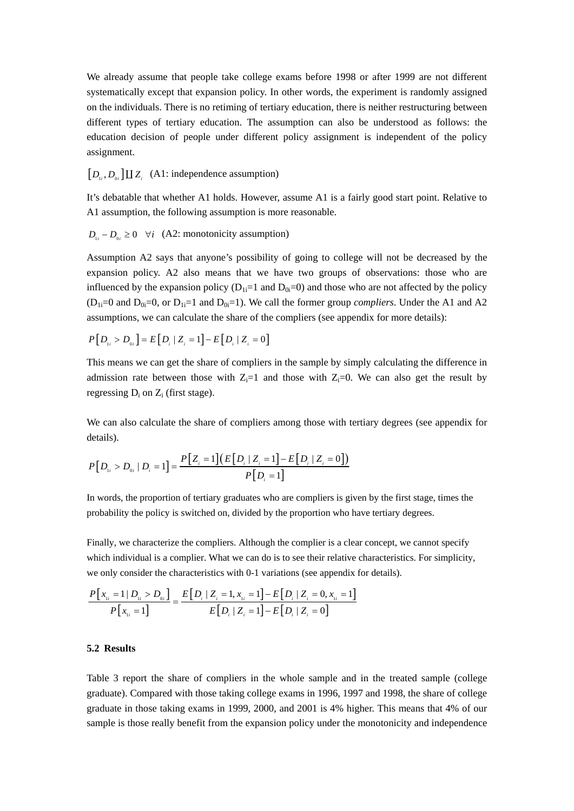We already assume that people take college exams before 1998 or after 1999 are not different systematically except that expansion policy. In other words, the experiment is randomly assigned on the individuals. There is no retiming of tertiary education, there is neither restructuring between different types of tertiary education. The assumption can also be understood as follows: the education decision of people under different policy assignment is independent of the policy assignment.

 $[D_{\mu}, D_{\alpha}] \coprod Z_i$  (A1: independence assumption)

It's debatable that whether A1 holds. However, assume A1 is a fairly good start point. Relative to A1 assumption, the following assumption is more reasonable.

 $D_{ij} - D_{0i} \ge 0 \quad \forall i \quad (A2: \text{monotonicity assumption})$ 

Assumption A2 says that anyone's possibility of going to college will not be decreased by the expansion policy. A2 also means that we have two groups of observations: those who are influenced by the expansion policy  $(D_{1i}=1$  and  $D_{0i}=0$ ) and those who are not affected by the policy  $(D_{1i}=0$  and  $D_{0i}=0$ , or  $D_{1i}=1$  and  $D_{0i}=1$ ). We call the former group *compliers*. Under the A1 and A2 assumptions, we can calculate the share of the compliers (see appendix for more details):

$$
P[D_{ii} > D_{0i}] = E[D_i | Z_i = 1] - E[D_i | Z_i = 0]
$$

This means we can get the share of compliers in the sample by simply calculating the difference in admission rate between those with  $Z_i=1$  and those with  $Z_i=0$ . We can also get the result by regressing  $D_i$  on  $Z_i$  (first stage).

We can also calculate the share of compliers among those with tertiary degrees (see appendix for details).

$$
P[D_{ii} > D_{0i} | D_i = 1] = \frac{P[Z_i = 1](E[D_i | Z_i = 1] - E[D_i | Z_i = 0])}{P[D_i = 1]}
$$

In words, the proportion of tertiary graduates who are compliers is given by the first stage, times the probability the policy is switched on, divided by the proportion who have tertiary degrees.

Finally, we characterize the compliers. Although the complier is a clear concept, we cannot specify which individual is a complier. What we can do is to see their relative characteristics. For simplicity, we only consider the characteristics with 0-1 variations (see appendix for details).

$$
\frac{P[x_{1i} = 1 | D_{1i} > D_{0i}]}{P[x_{1i} = 1]} = \frac{E[D_i | Z_i = 1, x_{1i} = 1] - E[D_i | Z_i = 0, x_{1i} = 1]}{E[D_i | Z_i = 1] - E[D_i | Z_i = 0]}
$$

# **5.2 Results**

Table 3 report the share of compliers in the whole sample and in the treated sample (college graduate). Compared with those taking college exams in 1996, 1997 and 1998, the share of college graduate in those taking exams in 1999, 2000, and 2001 is 4% higher. This means that 4% of our sample is those really benefit from the expansion policy under the monotonicity and independence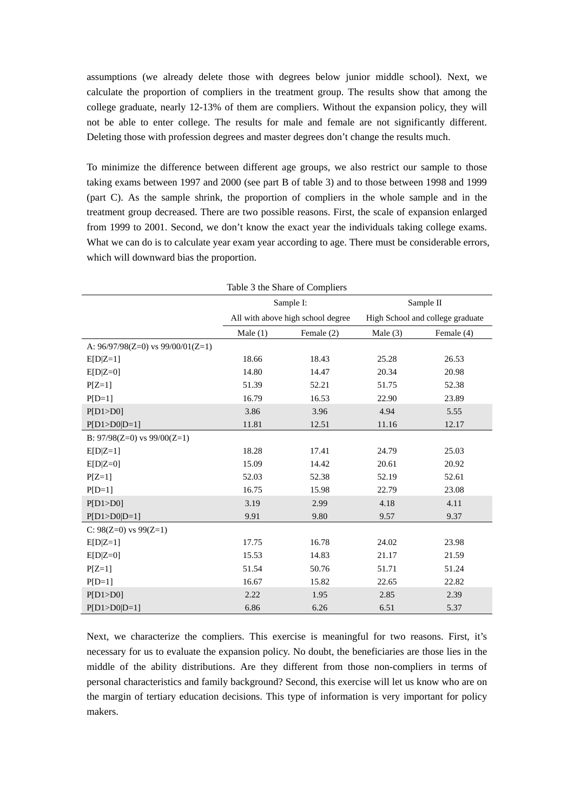assumptions (we already delete those with degrees below junior middle school). Next, we calculate the proportion of compliers in the treatment group. The results show that among the college graduate, nearly 12-13% of them are compliers. Without the expansion policy, they will not be able to enter college. The results for male and female are not significantly different. Deleting those with profession degrees and master degrees don't change the results much.

To minimize the difference between different age groups, we also restrict our sample to those taking exams between 1997 and 2000 (see part B of table 3) and to those between 1998 and 1999 (part C). As the sample shrink, the proportion of compliers in the whole sample and in the treatment group decreased. There are two possible reasons. First, the scale of expansion enlarged from 1999 to 2001. Second, we don't know the exact year the individuals taking college exams. What we can do is to calculate year exam year according to age. There must be considerable errors, which will downward bias the proportion.

| Table 3 the Share of Compliers        |            |                                   |                |                                  |  |  |  |  |  |
|---------------------------------------|------------|-----------------------------------|----------------|----------------------------------|--|--|--|--|--|
|                                       |            | Sample I:                         |                | Sample II                        |  |  |  |  |  |
|                                       |            | All with above high school degree |                | High School and college graduate |  |  |  |  |  |
|                                       | Male $(1)$ | Female (2)                        | Male $(3)$     | Female (4)                       |  |  |  |  |  |
| A: $96/97/98(Z=0)$ vs $99/00/01(Z=1)$ |            |                                   |                |                                  |  |  |  |  |  |
| $E[D Z=1]$                            | 18.66      | 18.43                             | 25.28          | 26.53                            |  |  |  |  |  |
| $E[D Z=0]$                            | 14.80      | 14.47                             | 20.34          | 20.98                            |  |  |  |  |  |
| $P[Z=1]$                              | 51.39      | 52.21                             | 51.75          | 52.38                            |  |  |  |  |  |
| $P[D=1]$                              | 16.79      | 16.53                             | 22.90<br>23.89 |                                  |  |  |  |  |  |
| P[D1>D0]                              | 3.86       | 3.96                              | 4.94           | 5.55                             |  |  |  |  |  |
| $P[D1 > D0 D=1]$                      | 11.81      | 12.51                             | 11.16          | 12.17                            |  |  |  |  |  |
| B: $97/98(Z=0)$ vs $99/00(Z=1)$       |            |                                   |                |                                  |  |  |  |  |  |
| $E[D Z=1]$                            | 18.28      | 17.41                             | 24.79          | 25.03                            |  |  |  |  |  |
| $E[D Z=0]$                            | 15.09      | 14.42                             | 20.61          | 20.92                            |  |  |  |  |  |
| $P[Z=1]$                              | 52.03      | 52.38                             | 52.19          | 52.61                            |  |  |  |  |  |
| $P[D=1]$                              | 16.75      | 15.98                             | 22.79          | 23.08                            |  |  |  |  |  |
| P[D1>DO]                              | 3.19       | 2.99                              | 4.18           | 4.11                             |  |  |  |  |  |
| $P[D1 > D0 D=1]$                      | 9.91       | 9.80                              | 9.57           | 9.37                             |  |  |  |  |  |
| C: $98(Z=0)$ vs $99(Z=1)$             |            |                                   |                |                                  |  |  |  |  |  |
| $E[D Z=1]$                            | 17.75      | 16.78                             | 24.02          | 23.98                            |  |  |  |  |  |
| $E[D Z=0]$                            | 15.53      | 14.83                             | 21.17          | 21.59                            |  |  |  |  |  |
| $P[Z=1]$                              | 51.54      | 50.76                             | 51.71          | 51.24                            |  |  |  |  |  |
| $P[D=1]$                              | 16.67      | 15.82                             | 22.65          | 22.82                            |  |  |  |  |  |
| P[D1>DO]                              | 2.22       | 1.95                              | 2.85           | 2.39                             |  |  |  |  |  |
| $P[D1>DO D=1]$                        | 6.86       | 6.26                              | 6.51           | 5.37                             |  |  |  |  |  |

Next, we characterize the compliers. This exercise is meaningful for two reasons. First, it's necessary for us to evaluate the expansion policy. No doubt, the beneficiaries are those lies in the middle of the ability distributions. Are they different from those non-compliers in terms of personal characteristics and family background? Second, this exercise will let us know who are on the margin of tertiary education decisions. This type of information is very important for policy makers.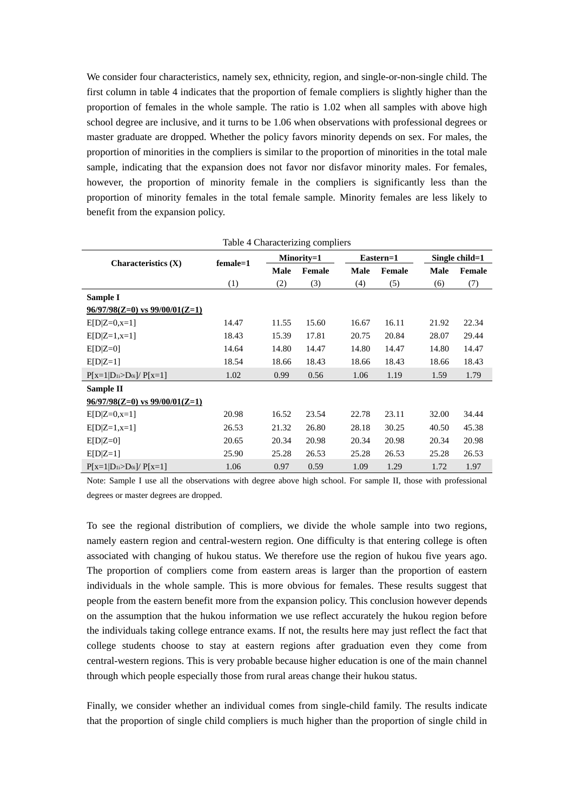We consider four characteristics, namely sex, ethnicity, region, and single-or-non-single child. The first column in table 4 indicates that the proportion of female compliers is slightly higher than the proportion of females in the whole sample. The ratio is 1.02 when all samples with above high school degree are inclusive, and it turns to be 1.06 when observations with professional degrees or master graduate are dropped. Whether the policy favors minority depends on sex. For males, the proportion of minorities in the compliers is similar to the proportion of minorities in the total male sample, indicating that the expansion does not favor nor disfavor minority males. For females, however, the proportion of minority female in the compliers is significantly less than the proportion of minority females in the total female sample. Minority females are less likely to benefit from the expansion policy.

| TAUIC + CHARACTERING COMPIETS      |          |             |               |             |           |                   |        |  |  |  |
|------------------------------------|----------|-------------|---------------|-------------|-----------|-------------------|--------|--|--|--|
| Characteristics $(X)$              | female=1 |             | Minority=1    |             | Eastern=1 | Single child= $1$ |        |  |  |  |
|                                    |          | <b>Male</b> | <b>Female</b> | <b>Male</b> | Female    | Male              | Female |  |  |  |
|                                    | (1)      | (2)         | (3)           | (4)         | (5)       | (6)               | (7)    |  |  |  |
| Sample I                           |          |             |               |             |           |                   |        |  |  |  |
| $96/97/98(Z=0)$ vs $99/00/01(Z=1)$ |          |             |               |             |           |                   |        |  |  |  |
| $E[D Z=0,x=1]$                     | 14.47    | 11.55       | 15.60         | 16.67       | 16.11     | 21.92             | 22.34  |  |  |  |
| $E[D Z=1,x=1]$                     | 18.43    | 15.39       | 17.81         | 20.75       | 20.84     | 28.07             | 29.44  |  |  |  |
| $E[D Z=0]$                         | 14.64    | 14.80       | 14.47         | 14.80       | 14.47     | 14.80             | 14.47  |  |  |  |
| $E[D Z=1]$                         | 18.54    | 18.66       | 18.43         | 18.66       | 18.43     | 18.66             | 18.43  |  |  |  |
| $P[x=1 D_{1i}>D_{0i}]/P[x=1]$      | 1.02     | 0.99        | 0.56          | 1.06        | 1.19      | 1.59              | 1.79   |  |  |  |
| Sample II                          |          |             |               |             |           |                   |        |  |  |  |
| $96/97/98(Z=0)$ vs $99/00/01(Z=1)$ |          |             |               |             |           |                   |        |  |  |  |
| $E[D Z=0,x=1]$                     | 20.98    | 16.52       | 23.54         | 22.78       | 23.11     | 32.00             | 34.44  |  |  |  |
| $E[D Z=1,x=1]$                     | 26.53    | 21.32       | 26.80         | 28.18       | 30.25     | 40.50             | 45.38  |  |  |  |
| $E[D Z=0]$                         | 20.65    | 20.34       | 20.98         | 20.34       | 20.98     | 20.34             | 20.98  |  |  |  |
| $E[D Z=1]$                         | 25.90    | 25.28       | 26.53         | 25.28       | 26.53     | 25.28             | 26.53  |  |  |  |
| $P[x=1 D_{1i}>D_{0i}]/P[x=1]$      | 1.06     | 0.97        | 0.59          | 1.09        | 1.29      | 1.72              | 1.97   |  |  |  |

Table 4 Characterizing compliers

Note: Sample I use all the observations with degree above high school. For sample II, those with professional degrees or master degrees are dropped.

To see the regional distribution of compliers, we divide the whole sample into two regions, namely eastern region and central-western region. One difficulty is that entering college is often associated with changing of hukou status. We therefore use the region of hukou five years ago. The proportion of compliers come from eastern areas is larger than the proportion of eastern individuals in the whole sample. This is more obvious for females. These results suggest that people from the eastern benefit more from the expansion policy. This conclusion however depends on the assumption that the hukou information we use reflect accurately the hukou region before the individuals taking college entrance exams. If not, the results here may just reflect the fact that college students choose to stay at eastern regions after graduation even they come from central-western regions. This is very probable because higher education is one of the main channel through which people especially those from rural areas change their hukou status.

Finally, we consider whether an individual comes from single-child family. The results indicate that the proportion of single child compliers is much higher than the proportion of single child in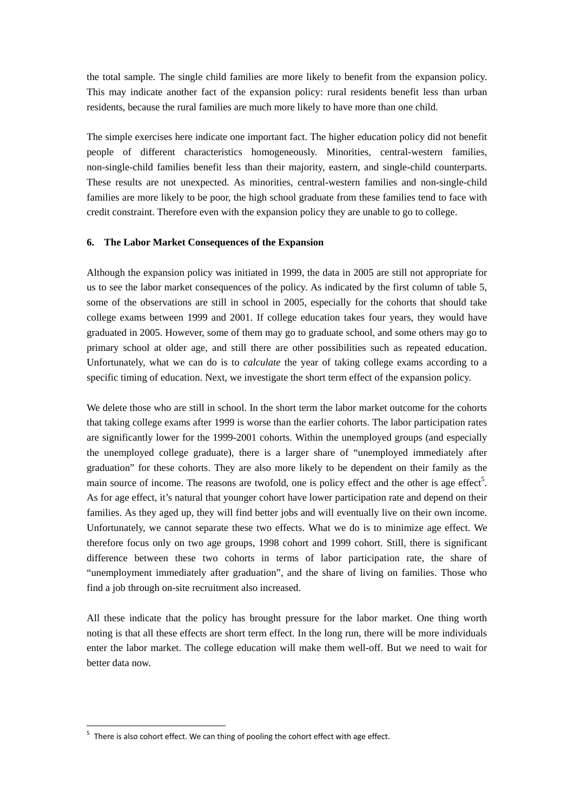the total sample. The single child families are more likely to benefit from the expansion policy. This may indicate another fact of the expansion policy: rural residents benefit less than urban residents, because the rural families are much more likely to have more than one child.

The simple exercises here indicate one important fact. The higher education policy did not benefit people of different characteristics homogeneously. Minorities, central-western families, non-single-child families benefit less than their majority, eastern, and single-child counterparts. These results are not unexpected. As minorities, central-western families and non-single-child families are more likely to be poor, the high school graduate from these families tend to face with credit constraint. Therefore even with the expansion policy they are unable to go to college.

## **6. The Labor Market Consequences of the Expansion**

Although the expansion policy was initiated in 1999, the data in 2005 are still not appropriate for us to see the labor market consequences of the policy. As indicated by the first column of table 5, some of the observations are still in school in 2005, especially for the cohorts that should take college exams between 1999 and 2001. If college education takes four years, they would have graduated in 2005. However, some of them may go to graduate school, and some others may go to primary school at older age, and still there are other possibilities such as repeated education. Unfortunately, what we can do is to *calculate* the year of taking college exams according to a specific timing of education. Next, we investigate the short term effect of the expansion policy.

We delete those who are still in school. In the short term the labor market outcome for the cohorts that taking college exams after 1999 is worse than the earlier cohorts. The labor participation rates are significantly lower for the 1999-2001 cohorts. Within the unemployed groups (and especially the unemployed college graduate), there is a larger share of "unemployed immediately after graduation" for these cohorts. They are also more likely to be dependent on their family as the main source of income. The reasons are twofold, one is policy effect and the other is age effect<sup>5</sup>. As for age effect, it's natural that younger cohort have lower participation rate and depend on their families. As they aged up, they will find better jobs and will eventually live on their own income. Unfortunately, we cannot separate these two effects. What we do is to minimize age effect. We therefore focus only on two age groups, 1998 cohort and 1999 cohort. Still, there is significant difference between these two cohorts in terms of labor participation rate, the share of "unemployment immediately after graduation", and the share of living on families. Those who find a job through on-site recruitment also increased.

All these indicate that the policy has brought pressure for the labor market. One thing worth noting is that all these effects are short term effect. In the long run, there will be more individuals enter the labor market. The college education will make them well-off. But we need to wait for better data now.

 $5$  There is also cohort effect. We can thing of pooling the cohort effect with age effect.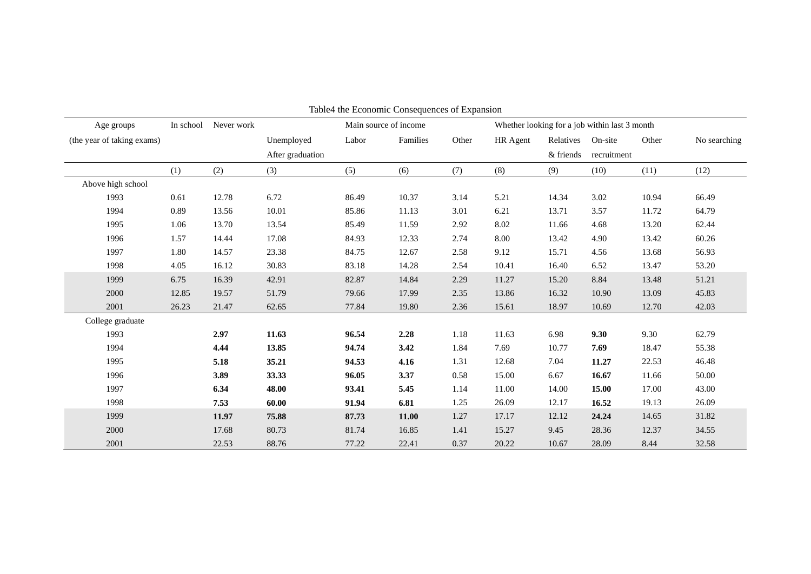| Table4 the Economic Consequences of Expansion |           |            |                       |       |          |                                               |          |           |             |       |              |
|-----------------------------------------------|-----------|------------|-----------------------|-------|----------|-----------------------------------------------|----------|-----------|-------------|-------|--------------|
| Age groups                                    | In school | Never work | Main source of income |       |          | Whether looking for a job within last 3 month |          |           |             |       |              |
| (the year of taking exams)                    |           |            | Unemployed            | Labor | Families | Other                                         | HR Agent | Relatives | On-site     | Other | No searching |
|                                               |           |            | After graduation      |       |          |                                               |          | & friends | recruitment |       |              |
|                                               | (1)       | (2)        | (3)                   | (5)   | (6)      | (7)                                           | (8)      | (9)       | (10)        | (11)  | (12)         |
| Above high school                             |           |            |                       |       |          |                                               |          |           |             |       |              |
| 1993                                          | 0.61      | 12.78      | 6.72                  | 86.49 | 10.37    | 3.14                                          | 5.21     | 14.34     | 3.02        | 10.94 | 66.49        |
| 1994                                          | 0.89      | 13.56      | 10.01                 | 85.86 | 11.13    | 3.01                                          | 6.21     | 13.71     | 3.57        | 11.72 | 64.79        |
| 1995                                          | 1.06      | 13.70      | 13.54                 | 85.49 | 11.59    | 2.92                                          | 8.02     | 11.66     | 4.68        | 13.20 | 62.44        |
| 1996                                          | 1.57      | 14.44      | 17.08                 | 84.93 | 12.33    | 2.74                                          | 8.00     | 13.42     | 4.90        | 13.42 | 60.26        |
| 1997                                          | 1.80      | 14.57      | 23.38                 | 84.75 | 12.67    | 2.58                                          | 9.12     | 15.71     | 4.56        | 13.68 | 56.93        |
| 1998                                          | 4.05      | 16.12      | 30.83                 | 83.18 | 14.28    | 2.54                                          | 10.41    | 16.40     | 6.52        | 13.47 | 53.20        |
| 1999                                          | 6.75      | 16.39      | 42.91                 | 82.87 | 14.84    | 2.29                                          | 11.27    | 15.20     | 8.84        | 13.48 | 51.21        |
| 2000                                          | 12.85     | 19.57      | 51.79                 | 79.66 | 17.99    | 2.35                                          | 13.86    | 16.32     | 10.90       | 13.09 | 45.83        |
| 2001                                          | 26.23     | 21.47      | 62.65                 | 77.84 | 19.80    | 2.36                                          | 15.61    | 18.97     | 10.69       | 12.70 | 42.03        |
| College graduate                              |           |            |                       |       |          |                                               |          |           |             |       |              |
| 1993                                          |           | 2.97       | 11.63                 | 96.54 | 2.28     | 1.18                                          | 11.63    | 6.98      | 9.30        | 9.30  | 62.79        |
| 1994                                          |           | 4.44       | 13.85                 | 94.74 | 3.42     | 1.84                                          | 7.69     | 10.77     | 7.69        | 18.47 | 55.38        |
| 1995                                          |           | 5.18       | 35.21                 | 94.53 | 4.16     | 1.31                                          | 12.68    | 7.04      | 11.27       | 22.53 | 46.48        |
| 1996                                          |           | 3.89       | 33.33                 | 96.05 | 3.37     | 0.58                                          | 15.00    | 6.67      | 16.67       | 11.66 | 50.00        |
| 1997                                          |           | 6.34       | 48.00                 | 93.41 | 5.45     | 1.14                                          | 11.00    | 14.00     | 15.00       | 17.00 | 43.00        |
| 1998                                          |           | 7.53       | 60.00                 | 91.94 | 6.81     | 1.25                                          | 26.09    | 12.17     | 16.52       | 19.13 | 26.09        |
| 1999                                          |           | 11.97      | 75.88                 | 87.73 | 11.00    | 1.27                                          | 17.17    | 12.12     | 24.24       | 14.65 | 31.82        |
| 2000                                          |           | 17.68      | 80.73                 | 81.74 | 16.85    | 1.41                                          | 15.27    | 9.45      | 28.36       | 12.37 | 34.55        |
| 2001                                          |           | 22.53      | 88.76                 | 77.22 | 22.41    | 0.37                                          | 20.22    | 10.67     | 28.09       | 8.44  | 32.58        |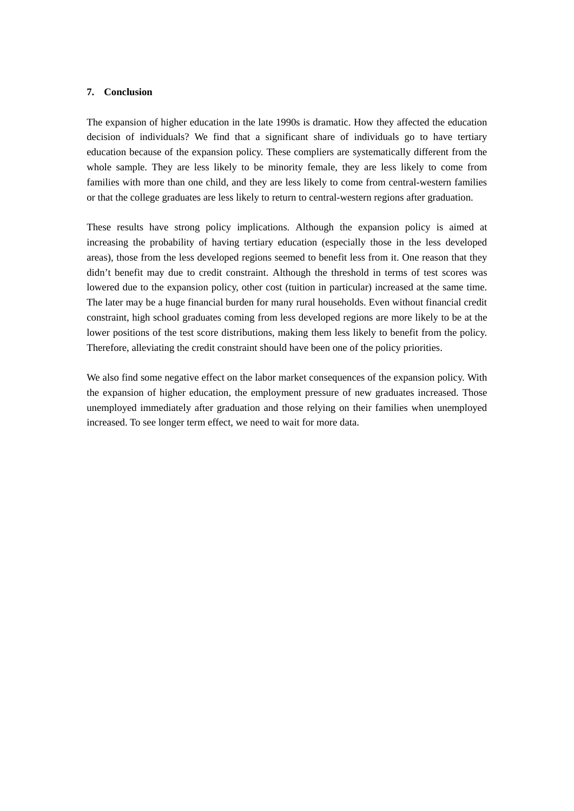#### **7. Conclusion**

The expansion of higher education in the late 1990s is dramatic. How they affected the education decision of individuals? We find that a significant share of individuals go to have tertiary education because of the expansion policy. These compliers are systematically different from the whole sample. They are less likely to be minority female, they are less likely to come from families with more than one child, and they are less likely to come from central-western families or that the college graduates are less likely to return to central-western regions after graduation.

These results have strong policy implications. Although the expansion policy is aimed at increasing the probability of having tertiary education (especially those in the less developed areas), those from the less developed regions seemed to benefit less from it. One reason that they didn't benefit may due to credit constraint. Although the threshold in terms of test scores was lowered due to the expansion policy, other cost (tuition in particular) increased at the same time. The later may be a huge financial burden for many rural households. Even without financial credit constraint, high school graduates coming from less developed regions are more likely to be at the lower positions of the test score distributions, making them less likely to benefit from the policy. Therefore, alleviating the credit constraint should have been one of the policy priorities.

We also find some negative effect on the labor market consequences of the expansion policy. With the expansion of higher education, the employment pressure of new graduates increased. Those unemployed immediately after graduation and those relying on their families when unemployed increased. To see longer term effect, we need to wait for more data.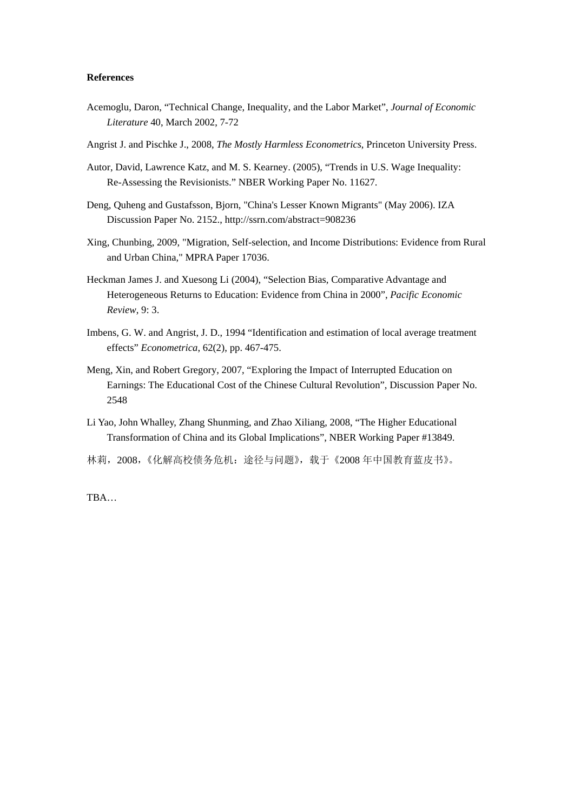#### **References**

- Acemoglu, Daron, "Technical Change, Inequality, and the Labor Market", *Journal of Economic Literature* 40, March 2002, 7-72
- Angrist J. and Pischke J., 2008, *The Mostly Harmless Econometrics*, Princeton University Press.
- Autor, David, Lawrence Katz, and M. S. Kearney. (2005), "Trends in U.S. Wage Inequality: Re-Assessing the Revisionists." NBER Working Paper No. 11627.
- Deng, Quheng and Gustafsson, Bjorn, "China's Lesser Known Migrants" (May 2006). IZA Discussion Paper No. 2152., http://ssrn.com/abstract=908236
- Xing, Chunbing, 2009, "Migration, Self-selection, and Income Distributions: Evidence from Rural and Urban China," MPRA Paper 17036.
- Heckman James J. and Xuesong Li (2004), "Selection Bias, Comparative Advantage and Heterogeneous Returns to Education: Evidence from China in 2000", *Pacific Economic Review*, 9: 3.
- Imbens, G. W. and Angrist, J. D., 1994 "Identification and estimation of local average treatment effects" *Econometrica*, 62(2), pp. 467-475.
- Meng, Xin, and Robert Gregory, 2007, "Exploring the Impact of Interrupted Education on Earnings: The Educational Cost of the Chinese Cultural Revolution", Discussion Paper No. 2548
- Li Yao, John Whalley, Zhang Shunming, and Zhao Xiliang, 2008, "The Higher Educational Transformation of China and its Global Implications", NBER Working Paper #13849.
- 林莉,2008,《化解高校债务危机:途径与问题》,载于《2008 年中国教育蓝皮书》。

TBA…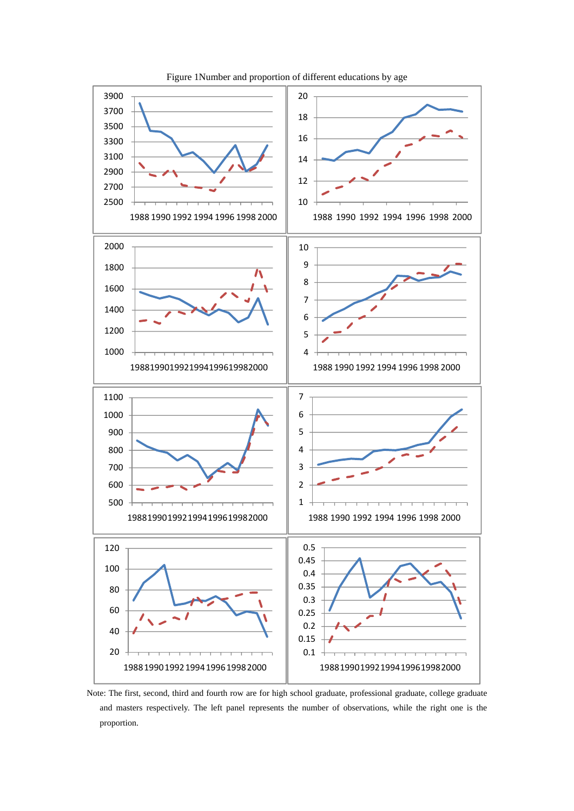

Figure 1Number and proportion of different educations by age

Note: The first, second, third and fourth row are for high school graduate, professional graduate, college graduate and masters respectively. The left panel represents the number of observations, while the right one is the proportion.